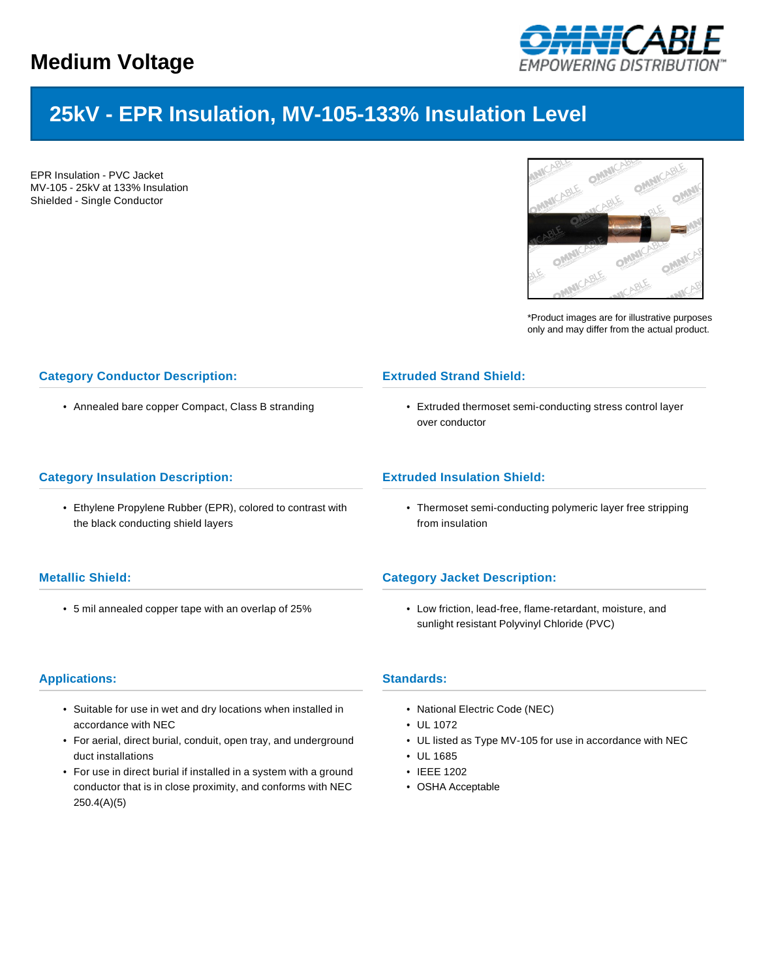

# **25kV - EPR Insulation, MV-105-133% Insulation Level**

EPR Insulation - PVC Jacket MV-105 - 25kV at 133% Insulation Shielded - Single Conductor



\*Product images are for illustrative purposes only and may differ from the actual product.

# **Category Conductor Description:**

• Annealed bare copper Compact, Class B stranding

#### **Category Insulation Description:**

• Ethylene Propylene Rubber (EPR), colored to contrast with the black conducting shield layers

## **Metallic Shield:**

• 5 mil annealed copper tape with an overlap of 25%

## **Applications:**

- Suitable for use in wet and dry locations when installed in accordance with NEC
- For aerial, direct burial, conduit, open tray, and underground duct installations
- For use in direct burial if installed in a system with a ground conductor that is in close proximity, and conforms with NEC 250.4(A)(5)

## **Extruded Strand Shield:**

• Extruded thermoset semi-conducting stress control layer over conductor

## **Extruded Insulation Shield:**

• Thermoset semi-conducting polymeric layer free stripping from insulation

## **Category Jacket Description:**

• Low friction, lead-free, flame-retardant, moisture, and sunlight resistant Polyvinyl Chloride (PVC)

#### **Standards:**

- National Electric Code (NEC)
- UL 1072
- UL listed as Type MV-105 for use in accordance with NEC
- UL 1685
- IEEE 1202
- OSHA Acceptable